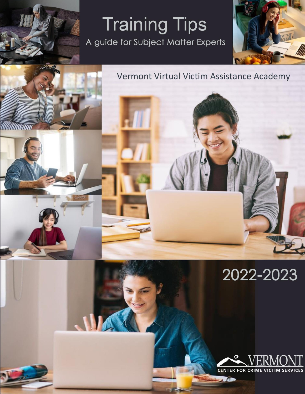# **Training Tips** A guide for Subject Matter Experts





# 2022-2023

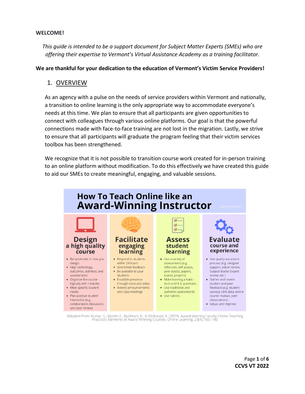#### **WELCOME!**

*This guide is intended to be a support document for Subject Matter Experts (SMEs) who are offering their expertise to Vermont's Virtual Assistance Academy as a training facilitator.*

#### **We are thankful for your dedication to the education of Vermont's Victim Service Providers!**

### 1. OVERVIEW

As an agency with a pulse on the needs of service providers within Vermont and nationally, a transition to online learning is the only appropriate way to accommodate everyone's needs at this time. We plan to ensure that all participants are given opportunities to connect with colleagues through various online platforms. Our goal is that the powerful connections made with face-to-face training are not lost in the migration. Lastly, we strive to ensure that all participants will graduate the program feeling that their victim services toolbox has been strengthened.

We recognize that it is not possible to transition course work created for in-person training to an online platform without modification. To do this effectively we have created this guide to aid our SMEs to create meaningful, engaging, and valuable sessions.



Adapted from: Kumar, S., Martin, F., Budhrani, K., & Ritzhaupt, A. (2019). Award-Winning Faculty Online Teaching<br>Practices: Elements of Award-Winning Courses. Online Learning, 23(4), 160-180.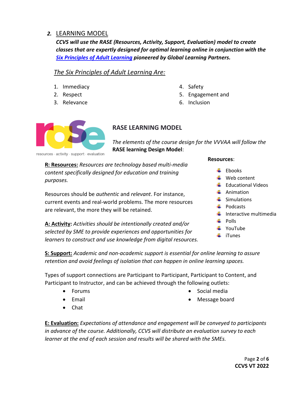# *2.* LEARNING MODEL

*CCVS will use the RASE (Resources, Activity, Support, Evaluation) model to create classes that are expertly designed for optimal learning online in conjunction with the Six Principles [of Adult Learning](chrome-extension://efaidnbmnnnibpcajpcglclefindmkaj/viewer.html?pdfurl=https%3A%2F%2Fwww.globallearningpartners.com%2Fwp-content%2Fuploads%2Fmigrated%2Fresources%2F6_Core_Principles_for_Learning.pdf&clen=357531&chunk=true) pioneered by Global Learning Partners.* 

## *The Six Principles of Adult Learning Are:*

- 1. Immediacy
- 2. Respect
- 3. Relevance
- 4. Safety
- 5. Engagement and
- 6. Inclusion



# **RASE LEARNING MODEL**

*The elements of the course design for the VVVAA will follow the*  **RASE learning Design Model**:

**R: Resources:** *Resources are technology based multi-media content specifically designed for education and training purposes.*

Resources should be *authentic* and *relevant*. For instance, current events and real-world problems. The more resources are relevant, the more they will be retained.

**A: Activity:** *Activities should be intentionally created and/or selected by SME to provide experiences and opportunities for learners to construct and use knowledge from digital resources.* 

#### **Resources**:

- $\pm$  Ebooks
- $\downarrow$  Web content
- $\bigstar$  Educational Videos
- $\leftarrow$  Animation
- $\leftarrow$  Simulations
- $\downarrow$  Podcasts
- $\ddot{\bullet}$  Interactive multimedia
- $\leftarrow$  Polls
- $\leftarrow$  YouTube
- $\frac{1}{2}$  iTunes

**S: Support:** *Academic and non-academic support is essential for online learning to assure retention and avoid feelings of isolation that can happen in online learning spaces.* 

Types of support connections are Participant to Participant, Participant to Content, and Participant to Instructor, and can be achieved through the following outlets:

- Forums
- Email
- Social media
	- Message board

• Chat

**E: Evaluation:** *Expectations of attendance and engagement will be conveyed to participants in advance of the course. Additionally, CCVS will distribute an evaluation survey to each learner at the end of each session and results will be shared with the SMEs.*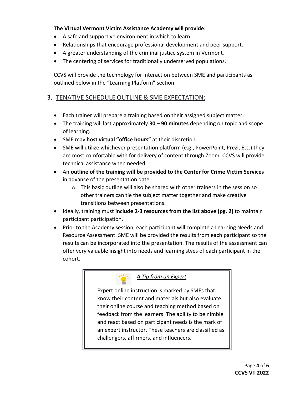### **The Virtual Vermont Victim Assistance Academy will provide:**

- A safe and supportive environment in which to learn.
- Relationships that encourage professional development and peer support.
- A greater understanding of the criminal justice system in Vermont.
- The centering of services for traditionally underserved populations.

CCVS will provide the technology for interaction between SME and participants as outlined below in the "Learning Platform" section.

## 3. TENATIVE SCHEDULE OUTLINE & SME EXPECTATION:

- Each trainer will prepare a training based on their assigned subject matter.
- The training will last approximately **30 – 90 minutes** depending on topic and scope of learning.
- SME may **host virtual "office hours"** at their discretion.
- SME will utilize whichever presentation platform (e.g., PowerPoint, Prezi, Etc.) they are most comfortable with for delivery of content through Zoom. CCVS will provide technical assistance when needed.
- An **outline of the training will be provided to the Center for Crime Victim Services** in advance of the presentation date.
	- $\circ$  This basic outline will also be shared with other trainers in the session so other trainers can tie the subject matter together and make creative transitions between presentations.
- Ideally, training must **include 2-3 resources from the list above (pg. 2)** to maintain participant participation.
- Prior to the Academy session, each participant will complete a Learning Needs and Resource Assessment. SME will be provided the results from each participant so the results can be incorporated into the presentation. The results of the assessment can offer very valuable insight into needs and learning styes of each participant in the cohort.



## *A Tip from an Expert*

Expert online instruction is marked by SMEs that know their content and materials but also evaluate their online course and teaching method based on feedback from the learners. The ability to be nimble and react based on participant needs is the mark of an expert instructor. These teachers are classified as challengers, affirmers, and influencers.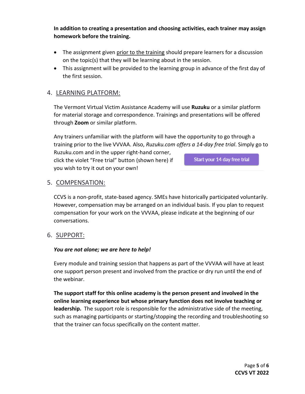**In addition to creating a presentation and choosing activities, each trainer may assign homework before the training.**

- The assignment given prior to the training should prepare learners for a discussion on the topic(s) that they will be learning about in the session.
- This assignment will be provided to the learning group in advance of the first day of the first session.

# 4. LEARNING PLATFORM:

The Vermont Virtual Victim Assistance Academy will use **Ruzuku** or a similar platform for material storage and correspondence. Trainings and presentations will be offered through **Zoom** or similar platform.

Any trainers unfamiliar with the platform will have the opportunity to go through a training prior to the live VVVAA. Also, *Ruzuku.com offers a 14-day free trial*. Simply go to

Ruzuku.com and in the upper right-hand corner, click the violet "Free trial" button (shown here) if you wish to try it out on your own!

Start your 14 day free trial

## 5. COMPENSATION:

CCVS is a non-profit, state-based agency. SMEs have historically participated voluntarily. However, compensation may be arranged on an individual basis. If you plan to request compensation for your work on the VVVAA, please indicate at the beginning of our conversations.

6. SUPPORT:

#### *You are not alone; we are here to help!*

Every module and training session that happens as part of the VVVAA will have at least one support person present and involved from the practice or dry run until the end of the webinar.

**The support staff for this online academy is the person present and involved in the online learning experience but whose primary function does not involve teaching or leadership.** The support role is responsible for the administrative side of the meeting, such as managing participants or starting/stopping the recording and troubleshooting so that the trainer can focus specifically on the content matter.